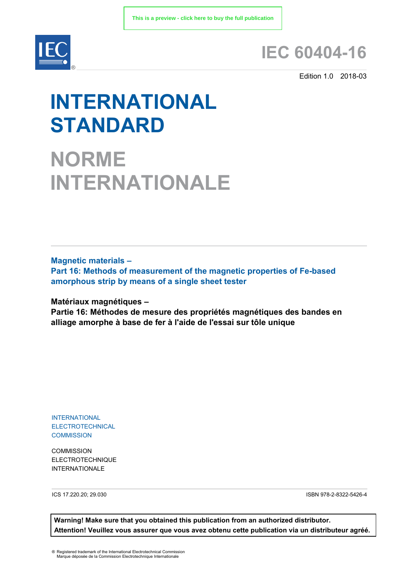

# **IEC 60404-16**

Edition 1.0 2018-03

# **INTERNATIONAL STANDARD**

**NORME INTERNATIONALE**

**Magnetic materials –**

**Part 16: Methods of measurement of the magnetic properties of Fe-based amorphous strip by means of a single sheet tester**

**Matériaux magnétiques –** 

**Partie 16: Méthodes de mesure des propriétés magnétiques des bandes en alliage amorphe à base de fer à l'aide de l'essai sur tôle unique**

INTERNATIONAL **ELECTROTECHNICAL COMMISSION** 

**COMMISSION** ELECTROTECHNIQUE INTERNATIONALE

ICS 17.220.20; 29.030 ISBN 978-2-8322-5426-4

**Warning! Make sure that you obtained this publication from an authorized distributor. Attention! Veuillez vous assurer que vous avez obtenu cette publication via un distributeur agréé.**

® Registered trademark of the International Electrotechnical Commission Marque déposée de la Commission Electrotechnique Internationale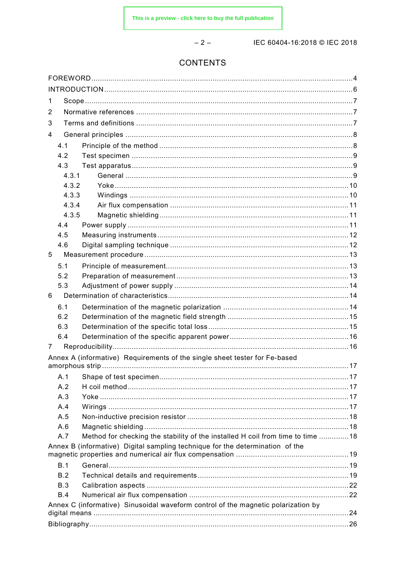$-2-$ 

IEC 60404-16:2018 © IEC 2018

# **CONTENTS**

| 1 |       |                                                                                   |  |
|---|-------|-----------------------------------------------------------------------------------|--|
| 2 |       |                                                                                   |  |
| 3 |       |                                                                                   |  |
| 4 |       |                                                                                   |  |
|   | 4.1   |                                                                                   |  |
|   | 4.2   |                                                                                   |  |
|   | 4.3   |                                                                                   |  |
|   | 4.3.1 |                                                                                   |  |
|   | 4.3.2 |                                                                                   |  |
|   | 4.3.3 |                                                                                   |  |
|   | 4.3.4 |                                                                                   |  |
|   | 4.3.5 |                                                                                   |  |
|   | 4.4   |                                                                                   |  |
|   | 4.5   |                                                                                   |  |
|   | 4.6   |                                                                                   |  |
| 5 |       |                                                                                   |  |
|   | 5.1   |                                                                                   |  |
|   | 5.2   |                                                                                   |  |
|   | 5.3   |                                                                                   |  |
| 6 |       |                                                                                   |  |
|   | 6.1   |                                                                                   |  |
|   | 6.2   |                                                                                   |  |
|   | 6.3   |                                                                                   |  |
|   | 6.4   |                                                                                   |  |
| 7 |       |                                                                                   |  |
|   |       | Annex A (informative) Requirements of the single sheet tester for Fe-based        |  |
|   |       |                                                                                   |  |
|   | A.1   |                                                                                   |  |
|   | A.2   |                                                                                   |  |
|   | A.3   |                                                                                   |  |
|   | A.4   |                                                                                   |  |
|   | A.5   |                                                                                   |  |
|   | A.6   |                                                                                   |  |
|   | A.7   | Method for checking the stability of the installed H coil from time to time 18    |  |
|   |       | Annex B (informative) Digital sampling technique for the determination of the     |  |
|   | B.1   |                                                                                   |  |
|   | B.2   |                                                                                   |  |
|   | B.3   |                                                                                   |  |
|   | B.4   |                                                                                   |  |
|   |       | Annex C (informative) Sinusoidal waveform control of the magnetic polarization by |  |
|   |       |                                                                                   |  |
|   |       |                                                                                   |  |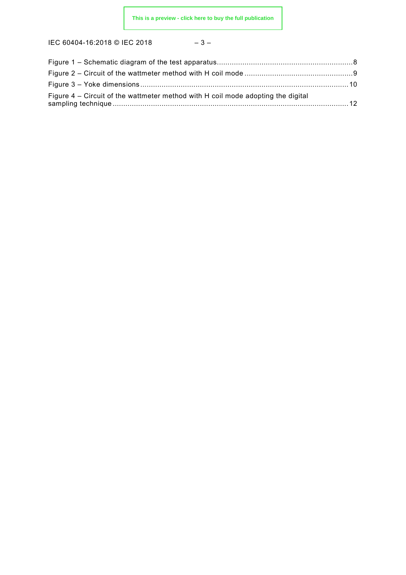IEC 60404-16:2018 © IEC 2018 – 3 –

| Figure 4 – Circuit of the wattmeter method with H coil mode adopting the digital |  |
|----------------------------------------------------------------------------------|--|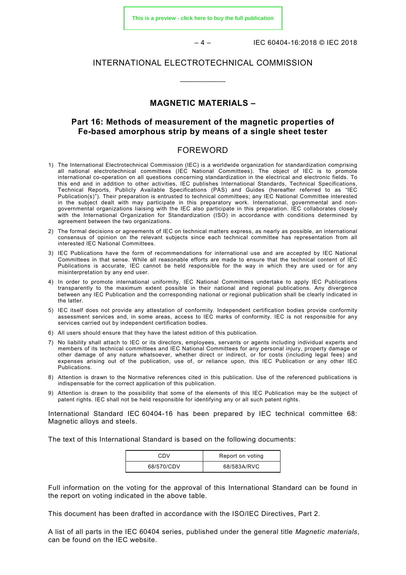**[This is a preview - click here to buy the full publication](https://webstore.iec.ch/publication/29011&preview)**

– 4 – IEC 60404-16:2018 © IEC 2018

#### INTERNATIONAL ELECTROTECHNICAL COMMISSION

 $\overline{\phantom{a}}$ 

# **MAGNETIC MATERIALS –**

# **Part 16: Methods of measurement of the magnetic properties of Fe-based amorphous strip by means of a single sheet tester**

# FOREWORD

- <span id="page-3-0"></span>1) The International Electrotechnical Commission (IEC) is a worldwide organization for standardization comprising all national electrotechnical committees (IEC National Committees). The object of IEC is to promote international co-operation on all questions concerning standardization in the electrical and electronic fields. To this end and in addition to other activities, IEC publishes International Standards, Technical Specifications, Technical Reports, Publicly Available Specifications (PAS) and Guides (hereafter referred to as "IEC Publication(s)"). Their preparation is entrusted to technical committees; any IEC National Committee interested in the subject dealt with may participate in this preparatory work. International, governmental and nongovernmental organizations liaising with the IEC also participate in this preparation. IEC collaborates closely with the International Organization for Standardization (ISO) in accordance with conditions determined by agreement between the two organizations.
- 2) The formal decisions or agreements of IEC on technical matters express, as nearly as possible, an international consensus of opinion on the relevant subjects since each technical committee has representation from all interested IEC National Committees.
- 3) IEC Publications have the form of recommendations for international use and are accepted by IEC National Committees in that sense. While all reasonable efforts are made to ensure that the technical content of IEC Publications is accurate, IEC cannot be held responsible for the way in which they are used or for any misinterpretation by any end user.
- 4) In order to promote international uniformity, IEC National Committees undertake to apply IEC Publications transparently to the maximum extent possible in their national and regional publications. Any divergence between any IEC Publication and the corresponding national or regional publication shall be clearly indicated in the latter.
- 5) IEC itself does not provide any attestation of conformity. Independent certification bodies provide conformity assessment services and, in some areas, access to IEC marks of conformity. IEC is not responsible for any services carried out by independent certification bodies.
- 6) All users should ensure that they have the latest edition of this publication.
- 7) No liability shall attach to IEC or its directors, employees, servants or agents including individual experts and members of its technical committees and IEC National Committees for any personal injury, property damage or other damage of any nature whatsoever, whether direct or indirect, or for costs (including legal fees) and expenses arising out of the publication, use of, or reliance upon, this IEC Publication or any other IEC Publications.
- 8) Attention is drawn to the Normative references cited in this publication. Use of the referenced publications is indispensable for the correct application of this publication.
- 9) Attention is drawn to the possibility that some of the elements of this IEC Publication may be the subject of patent rights. IEC shall not be held responsible for identifying any or all such patent rights.

International Standard IEC 60404-16 has been prepared by IEC technical committee 68: Magnetic alloys and steels.

The text of this International Standard is based on the following documents:

| CDV        | Report on voting |
|------------|------------------|
| 68/570/CDV | 68/583A/RVC      |

Full information on the voting for the approval of this International Standard can be found in the report on voting indicated in the above table.

This document has been drafted in accordance with the ISO/IEC Directives, Part 2.

A list of all parts in the IEC 60404 series, published under the general title *Magnetic materials*, can be found on the IEC website.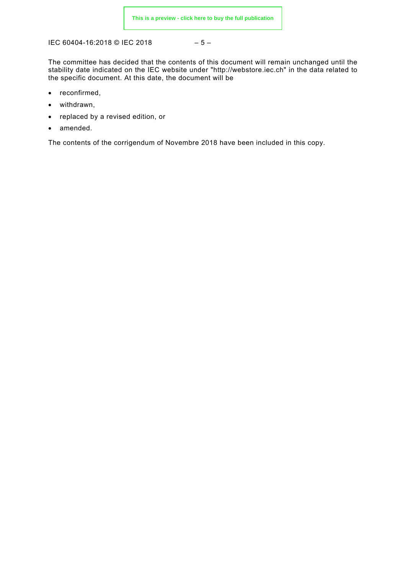IEC 60404-16:2018 © IEC 2018 – 5 –

The committee has decided that the contents of this document will remain unchanged until the stability date indicated on the IEC website under ["http://webstore.iec.ch"](http://webstore.iec.ch/) in the data related to the specific document. At this date, the document will be

- reconfirmed,
- withdrawn,
- replaced by a revised edition, or
- amended.

The contents of the corrigendum of Novembre 2018 have been included in this copy.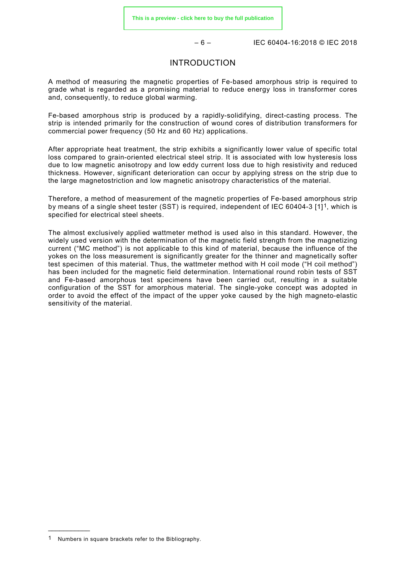– 6 – IEC 60404-16:2018 © IEC 2018

## INTRODUCTION

<span id="page-5-0"></span>A method of measuring the magnetic properties of Fe-based amorphous strip is required to grade what is regarded as a promising material to reduce energy loss in transformer cores and, consequently, to reduce global warming.

Fe-based amorphous strip is produced by a rapidly-solidifying, direct-casting process. The strip is intended primarily for the construction of wound cores of distribution transformers for commercial power frequency (50 Hz and 60 Hz) applications.

After appropriate heat treatment, the strip exhibits a significantly lower value of specific total loss compared to grain-oriented electrical steel strip. It is associated with low hysteresis loss due to low magnetic anisotropy and low eddy current loss due to high resistivity and reduced thickness. However, significant deterioration can occur by applying stress on the strip due to the large magnetostriction and low magnetic anisotropy characteristics of the material.

Therefore, a method of measurement of the magnetic properties of Fe-based amorphous strip by means of a single sheet tester (SST) is required, independent of IEC 60404-3 [1][1](#page-5-1), which is specified for electrical steel sheets.

The almost exclusively applied wattmeter method is used also in this standard. However, the widely used version with the determination of the magnetic field strength from the magnetizing current ("MC method") is not applicable to this kind of material, because the influence of the yokes on the loss measurement is significantly greater for the thinner and magnetically softer test specimen of this material. Thus, the wattmeter method with H coil mode ("H coil method") has been included for the magnetic field determination. International round robin tests of SST and Fe-based amorphous test specimens have been carried out, resulting in a suitable configuration of the SST for amorphous material. The single-yoke concept was adopted in order to avoid the effect of the impact of the upper yoke caused by the high magneto-elastic sensitivity of the material.

\_\_\_\_\_\_\_\_\_\_\_

<span id="page-5-1"></span><sup>1</sup> Numbers in square brackets refer to the Bibliography.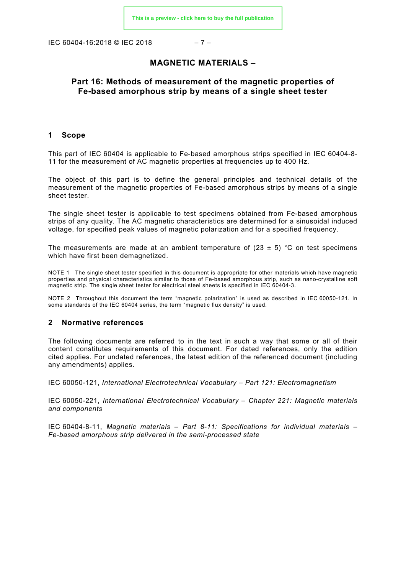IEC 60404-16:2018 © IEC 2018 – 7 –

# **MAGNETIC MATERIALS –**

# **Part 16: Methods of measurement of the magnetic properties of Fe-based amorphous strip by means of a single sheet tester**

#### <span id="page-6-0"></span>**1 Scope**

This part of IEC 60404 is applicable to Fe-based amorphous strips specified in IEC 60404-8- 11 for the measurement of AC magnetic properties at frequencies up to 400 Hz.

The object of this part is to define the general principles and technical details of the measurement of the magnetic properties of Fe-based amorphous strips by means of a single sheet tester.

The single sheet tester is applicable to test specimens obtained from Fe-based amorphous strips of any quality. The AC magnetic characteristics are determined for a sinusoidal induced voltage, for specified peak values of magnetic polarization and for a specified frequency.

The measurements are made at an ambient temperature of  $(23 \pm 5)$  °C on test specimens which have first been demagnetized.

NOTE 1 The single sheet tester specified in this document is appropriate for other materials which have magnetic properties and physical characteristics similar to those of Fe-based amorphous strip, such as nano-crystalline soft magnetic strip. The single sheet tester for electrical steel sheets is specified in IEC 60404-3.

NOTE 2 Throughout this document the term "magnetic polarization" is used as described in IEC 60050-121. In some standards of the IEC 60404 series, the term "magnetic flux density" is used.

#### <span id="page-6-1"></span>**2 Normative references**

The following documents are referred to in the text in such a way that some or all of their content constitutes requirements of this document. For dated references, only the edition cited applies. For undated references, the latest edition of the referenced document (including any amendments) applies.

IEC 60050-121, *International Electrotechnical Vocabulary – Part 121: Electromagnetism*

IEC 60050-221, *International Electrotechnical Vocabulary – Chapter 221: Magnetic materials and components*

<span id="page-6-2"></span>IEC 60404-8-11, *Magnetic materials – Part 8-11: Specifications for individual materials – Fe-based amorphous strip delivered in the semi-processed state*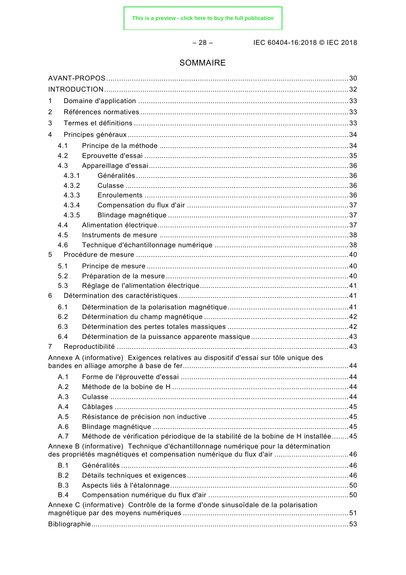$-28-$ 

IEC 60404-16:2018 © IEC 2018

# SOMMAIRE

| 1                                                                                 |                                                                                                                                                             |  |  |  |
|-----------------------------------------------------------------------------------|-------------------------------------------------------------------------------------------------------------------------------------------------------------|--|--|--|
| 2                                                                                 |                                                                                                                                                             |  |  |  |
| 3                                                                                 |                                                                                                                                                             |  |  |  |
| 4                                                                                 |                                                                                                                                                             |  |  |  |
| 4.1                                                                               |                                                                                                                                                             |  |  |  |
| 4.2                                                                               |                                                                                                                                                             |  |  |  |
| 4.3                                                                               |                                                                                                                                                             |  |  |  |
| 4.3.1                                                                             |                                                                                                                                                             |  |  |  |
| 4.3.2                                                                             |                                                                                                                                                             |  |  |  |
| 4.3.3                                                                             |                                                                                                                                                             |  |  |  |
| 4.3.4                                                                             |                                                                                                                                                             |  |  |  |
| 4.3.5                                                                             |                                                                                                                                                             |  |  |  |
| 4.4                                                                               |                                                                                                                                                             |  |  |  |
| 4.5                                                                               |                                                                                                                                                             |  |  |  |
| 4.6                                                                               |                                                                                                                                                             |  |  |  |
| 5                                                                                 |                                                                                                                                                             |  |  |  |
| 5.1                                                                               |                                                                                                                                                             |  |  |  |
| 5.2                                                                               |                                                                                                                                                             |  |  |  |
| 5.3                                                                               |                                                                                                                                                             |  |  |  |
| 6                                                                                 |                                                                                                                                                             |  |  |  |
| 6.1                                                                               |                                                                                                                                                             |  |  |  |
| 6.2                                                                               |                                                                                                                                                             |  |  |  |
| 6.3                                                                               |                                                                                                                                                             |  |  |  |
| 6.4                                                                               |                                                                                                                                                             |  |  |  |
| $\overline{7}$                                                                    |                                                                                                                                                             |  |  |  |
|                                                                                   | Annexe A (informative) Exigences relatives au dispositif d'essai sur tôle unique des                                                                        |  |  |  |
| A.1                                                                               |                                                                                                                                                             |  |  |  |
| A.2                                                                               |                                                                                                                                                             |  |  |  |
| A.3                                                                               |                                                                                                                                                             |  |  |  |
| A.4                                                                               |                                                                                                                                                             |  |  |  |
| A.5                                                                               |                                                                                                                                                             |  |  |  |
| A.6                                                                               |                                                                                                                                                             |  |  |  |
| A.7                                                                               | Méthode de vérification périodique de la stabilité de la bobine de H installée45                                                                            |  |  |  |
|                                                                                   | Annexe B (informative) Technique d'échantillonnage numérique pour la détermination<br>des propriétés magnétiques et compensation numérique du flux d'air 46 |  |  |  |
| B.1                                                                               |                                                                                                                                                             |  |  |  |
| B.2                                                                               |                                                                                                                                                             |  |  |  |
| B.3                                                                               |                                                                                                                                                             |  |  |  |
| B.4                                                                               |                                                                                                                                                             |  |  |  |
| Annexe C (informative) Contrôle de la forme d'onde sinusoïdale de la polarisation |                                                                                                                                                             |  |  |  |
|                                                                                   |                                                                                                                                                             |  |  |  |
|                                                                                   |                                                                                                                                                             |  |  |  |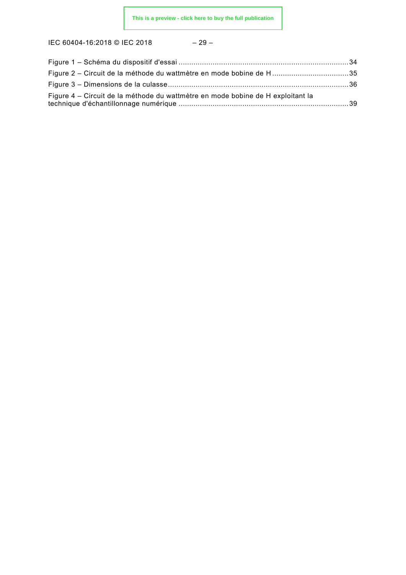IEC 60404-16:2018 © IEC 2018 – 29 –

| Figure 4 – Circuit de la méthode du wattmètre en mode bobine de H exploitant la |  |
|---------------------------------------------------------------------------------|--|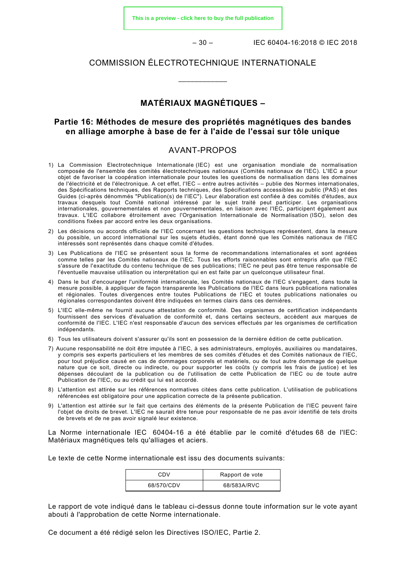**[This is a preview - click here to buy the full publication](https://webstore.iec.ch/publication/29011&preview)**

– 30 – IEC 60404-16:2018 © IEC 2018

# COMMISSION ÉLECTROTECHNIQUE INTERNATIONALE

\_\_\_\_\_\_\_\_\_\_\_\_

# **MATÉRIAUX MAGNÉTIQUES –**

# **Partie 16: Méthodes de mesure des propriétés magnétiques des bandes en alliage amorphe à base de fer à l'aide de l'essai sur tôle unique**

# AVANT-PROPOS

- <span id="page-9-0"></span>1) La Commission Electrotechnique Internationale (IEC) est une organisation mondiale de normalisation composée de l'ensemble des comités électrotechniques nationaux (Comités nationaux de l'IEC). L'IEC a pour objet de favoriser la coopération internationale pour toutes les questions de normalisation dans les domaines de l'électricité et de l'électronique. A cet effet, l'IEC – entre autres activités – publie des Normes internationales, des Spécifications techniques, des Rapports techniques, des Spécifications accessibles au public (PAS) et des Guides (ci-après dénommés "Publication(s) de l'IEC"). Leur élaboration est confiée à des comités d'études, aux travaux desquels tout Comité national intéressé par le sujet traité peut participer. Les organisations internationales, gouvernementales et non gouvernementales, en liaison avec l'IEC, participent également aux travaux. L'IEC collabore étroitement avec l'Organisation Internationale de Normalisation (ISO), selon des conditions fixées par accord entre les deux organisations.
- 2) Les décisions ou accords officiels de l'IEC concernant les questions techniques représentent, dans la mesure du possible, un accord international sur les sujets étudiés, étant donné que les Comités nationaux de l'IEC intéressés sont représentés dans chaque comité d'études.
- 3) Les Publications de l'IEC se présentent sous la forme de recommandations internationales et sont agréées comme telles par les Comités nationaux de l'IEC. Tous les efforts raisonnables sont entrepris afin que l'IEC s'assure de l'exactitude du contenu technique de ses publications; l'IEC ne peut pas être tenue responsable de l'éventuelle mauvaise utilisation ou interprétation qui en est faite par un quelconque utilisateur final.
- 4) Dans le but d'encourager l'uniformité internationale, les Comités nationaux de l'IEC s'engagent, dans toute la mesure possible, à appliquer de façon transparente les Publications de l'IEC dans leurs publications nationales et régionales. Toutes divergences entre toutes Publications de l'IEC et toutes publications nationales ou régionales correspondantes doivent être indiquées en termes clairs dans ces dernières.
- 5) L'IEC elle-même ne fournit aucune attestation de conformité. Des organismes de certification indépendants fournissent des services d'évaluation de conformité et, dans certains secteurs, accèdent aux marques de conformité de l'IEC. L'IEC n'est responsable d'aucun des services effectués par les organismes de certification indépendants.
- 6) Tous les utilisateurs doivent s'assurer qu'ils sont en possession de la dernière édition de cette publication.
- 7) Aucune responsabilité ne doit être imputée à l'IEC, à ses administrateurs, employés, auxiliaires ou mandataires, y compris ses experts particuliers et les membres de ses comités d'études et des Comités nationaux de l'IEC, pour tout préjudice causé en cas de dommages corporels et matériels, ou de tout autre dommage de quelque nature que ce soit, directe ou indirecte, ou pour supporter les coûts (y compris les frais de justice) et les dépenses découlant de la publication ou de l'utilisation de cette Publication de l'IEC ou de toute autre Publication de l'IEC, ou au crédit qui lui est accordé.
- 8) L'attention est attirée sur les références normatives citées dans cette publication. L'utilisation de publications référencées est obligatoire pour une application correcte de la présente publication.
- 9) L'attention est attirée sur le fait que certains des éléments de la présente Publication de l'IEC peuvent faire l'objet de droits de brevet. L'IEC ne saurait être tenue pour responsable de ne pas avoir identifié de tels droits de brevets et de ne pas avoir signalé leur existence.

La Norme internationale IEC 60404-16 a été établie par le comité d'études 68 de l'IEC: Matériaux magnétiques tels qu'alliages et aciers.

Le texte de cette Norme internationale est issu des documents suivants:

| CDV        | Rapport de vote |
|------------|-----------------|
| 68/570/CDV | 68/583A/RVC     |

Le rapport de vote indiqué dans le tableau ci-dessus donne toute information sur le vote ayant abouti à l'approbation de cette Norme internationale.

Ce document a été rédigé selon les Directives ISO/IEC, Partie 2.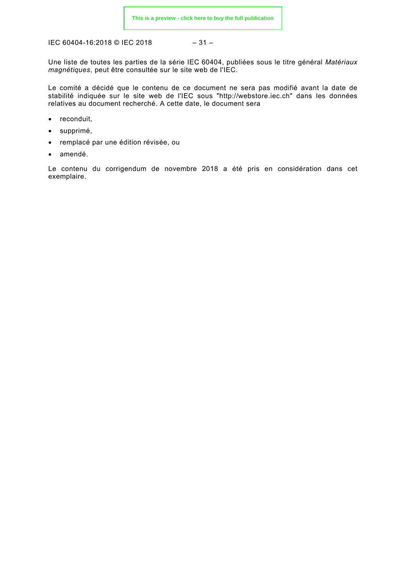IEC 60404-16:2018 © IEC 2018

$$
-31-
$$

Une liste de toutes les parties de la série IEC 60404, publiées sous le titre général *Matériaux magnétiques*, peut être consultée sur le site web de l'IEC.

Le comité a décidé que le contenu de ce document ne sera pas modifié avant la date de stabilité indiquée sur le site web de l'IEC sous ["http://webstore.iec.ch"](http://webstore.iec.ch/) dans les données relatives au document recherché. A cette date, le document sera

- reconduit,
- supprimé,
- remplacé par une édition révisée, ou
- amendé.

Le contenu du corrigendum de novembre 2018 a été pris en considération dans cet exemplaire.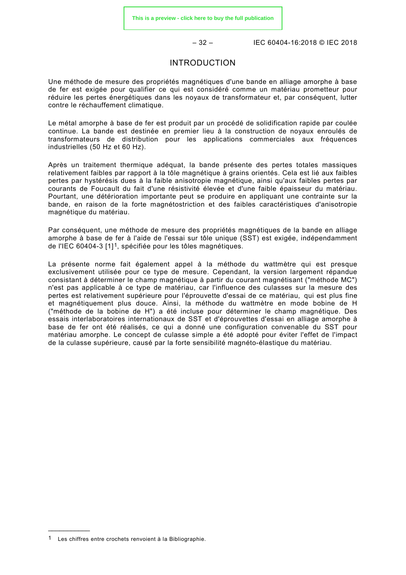– 32 – IEC 60404-16:2018 © IEC 2018

## INTRODUCTION

<span id="page-11-0"></span>Une méthode de mesure des propriétés magnétiques d'une bande en alliage amorphe à base de fer est exigée pour qualifier ce qui est considéré comme un matériau prometteur pour réduire les pertes énergétiques dans les noyaux de transformateur et, par conséquent, lutter contre le réchauffement climatique.

Le métal amorphe à base de fer est produit par un procédé de solidification rapide par coulée continue. La bande est destinée en premier lieu à la construction de noyaux enroulés de transformateurs de distribution pour les applications commerciales aux fréquences industrielles (50 Hz et 60 Hz).

Après un traitement thermique adéquat, la bande présente des pertes totales massiques relativement faibles par rapport à la tôle magnétique à grains orientés. Cela est lié aux faibles pertes par hystérésis dues à la faible anisotropie magnétique, ainsi qu'aux faibles pertes par courants de Foucault du fait d'une résistivité élevée et d'une faible épaisseur du matériau. Pourtant, une détérioration importante peut se produire en appliquant une contrainte sur la bande, en raison de la forte magnétostriction et des faibles caractéristiques d'anisotropie magnétique du matériau.

Par conséquent, une méthode de mesure des propriétés magnétiques de la bande en alliage amorphe à base de fer à l'aide de l'essai sur tôle unique (SST) est exigée, indépendamment de l'IEC 60404-3 [1][1,](#page-11-1) spécifiée pour les tôles magnétiques.

La présente norme fait également appel à la méthode du wattmètre qui est presque exclusivement utilisée pour ce type de mesure. Cependant, la version largement répandue consistant à déterminer le champ magnétique à partir du courant magnétisant ("méthode MC") n'est pas applicable à ce type de matériau, car l'influence des culasses sur la mesure des pertes est relativement supérieure pour l'éprouvette d'essai de ce matériau, qui est plus fine et magnétiquement plus douce. Ainsi, la méthode du wattmètre en mode bobine de H ("méthode de la bobine de H") a été incluse pour déterminer le champ magnétique. Des essais interlaboratoires internationaux de SST et d'éprouvettes d'essai en alliage amorphe à base de fer ont été réalisés, ce qui a donné une configuration convenable du SST pour matériau amorphe. Le concept de culasse simple a été adopté pour éviter l'effet de l'impact de la culasse supérieure, causé par la forte sensibilité magnéto-élastique du matériau.

\_\_\_\_\_\_\_\_\_\_\_

<span id="page-11-1"></span><sup>1</sup> Les chiffres entre crochets renvoient à la Bibliographie.